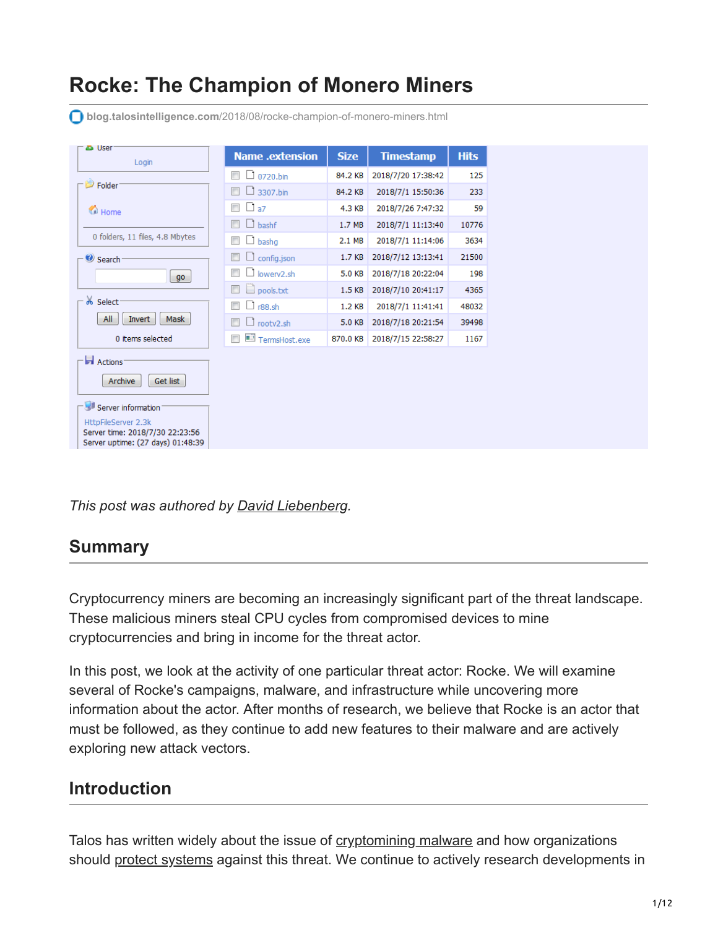# **Rocke: The Champion of Monero Miners**

ය<br>User **Name** .extension **Size Timestamp Hits** Login  $\Box$  0720.bin 84.2 KB 2018/7/20 17:38:42 125  $\Rightarrow$  Folder  $\Box$  3307.bin 84.2 KB 2018/7/1 15:50:36 233  $\Box$   $\Box$  a7 4.3 KB 2018/7/26 7:47:32 59 Home  $\Box$  bashf  $1.7 \text{ MB}$ 2018/7/1 11:13:40 10776 0 folders, 11 files, 4.8 Mbytes  $\Box$  bashg  $2.1 \text{ MB}$ 2018/7/1 11:14:06 3634  $\Box$   $\Box$  config.json 1.7 KB 2018/7/12 13:13:41 21500 Search  $\Box$  D lowerv2.sh 5.0 KB 2018/7/18 20:22:04 198  $\boxed{go}$  $\Box$   $\Box$  pools.txt 1.5 KB 2018/7/10 20:41:17 4365 ob Select  $\Box$  r88.sh 1.2 KB 2018/7/1 11:41:41 48032 All | Invert | Mask  $\Box$  Trootv2.sh 39498 5.0 KB 2018/7/18 20:21:54 0 items selected  $\Box$   $\Box$  TermsHost.exe 870.0 KB 2018/7/15 22:58:27 1167 Actions<sup>1</sup> Get list Archive Server information HttpFileServer 2.3k Server time: 2018/7/30 22:23:56

**blog.talosintelligence.com**[/2018/08/rocke-champion-of-monero-miners.html](https://blog.talosintelligence.com/2018/08/rocke-champion-of-monero-miners.html)

*This post was authored by [David Liebenberg](https://twitter.com/chinahanddave).*

# **Summary**

Server uptime: (27 days) 01:48:39

Cryptocurrency miners are becoming an increasingly significant part of the threat landscape. These malicious miners steal CPU cycles from compromised devices to mine cryptocurrencies and bring in income for the threat actor.

In this post, we look at the activity of one particular threat actor: Rocke. We will examine several of Rocke's campaigns, malware, and infrastructure while uncovering more information about the actor. After months of research, we believe that Rocke is an actor that must be followed, as they continue to add new features to their malware and are actively exploring new attack vectors.

# **Introduction**

Talos has written widely about the issue of [cryptomining malware](https://blog.talosintelligence.com/2018/01/malicious-xmr-mining.html&sa=D&ust=1535643040325000) and how organizations should [protect systems](https://blog.talosintelligence.com/2018/07/blocking-cryptomining.html&sa=D&ust=1535643040326000) against this threat. We continue to actively research developments in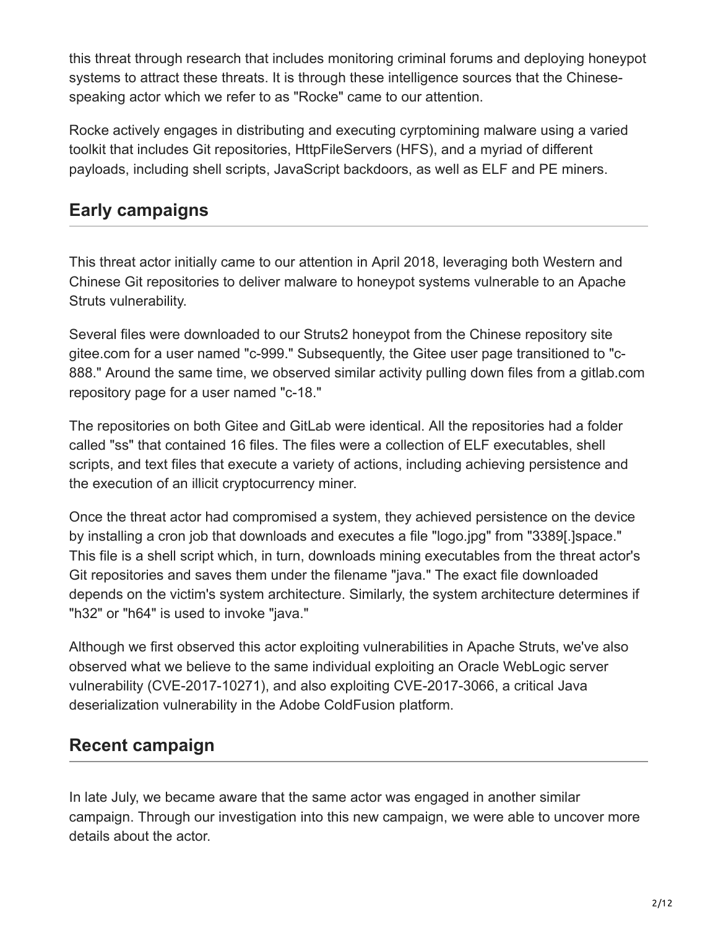this threat through research that includes monitoring criminal forums and deploying honeypot systems to attract these threats. It is through these intelligence sources that the Chinesespeaking actor which we refer to as "Rocke" came to our attention.

Rocke actively engages in distributing and executing cyrptomining malware using a varied toolkit that includes Git repositories, HttpFileServers (HFS), and a myriad of different payloads, including shell scripts, JavaScript backdoors, as well as ELF and PE miners.

# **Early campaigns**

This threat actor initially came to our attention in April 2018, leveraging both Western and Chinese Git repositories to deliver malware to honeypot systems vulnerable to an Apache Struts vulnerability.

Several files were downloaded to our Struts2 honeypot from the Chinese repository site gitee.com for a user named "c-999." Subsequently, the Gitee user page transitioned to "c-888." Around the same time, we observed similar activity pulling down files from a gitlab.com repository page for a user named "c-18."

The repositories on both Gitee and GitLab were identical. All the repositories had a folder called "ss" that contained 16 files. The files were a collection of ELF executables, shell scripts, and text files that execute a variety of actions, including achieving persistence and the execution of an illicit cryptocurrency miner.

Once the threat actor had compromised a system, they achieved persistence on the device by installing a cron job that downloads and executes a file "logo.jpg" from "3389[.]space." This file is a shell script which, in turn, downloads mining executables from the threat actor's Git repositories and saves them under the filename "java." The exact file downloaded depends on the victim's system architecture. Similarly, the system architecture determines if "h32" or "h64" is used to invoke "java."

Although we first observed this actor exploiting vulnerabilities in Apache Struts, we've also observed what we believe to the same individual exploiting an Oracle WebLogic server vulnerability (CVE-2017-10271), and also exploiting CVE-2017-3066, a critical Java deserialization vulnerability in the Adobe ColdFusion platform.

# **Recent campaign**

In late July, we became aware that the same actor was engaged in another similar campaign. Through our investigation into this new campaign, we were able to uncover more details about the actor.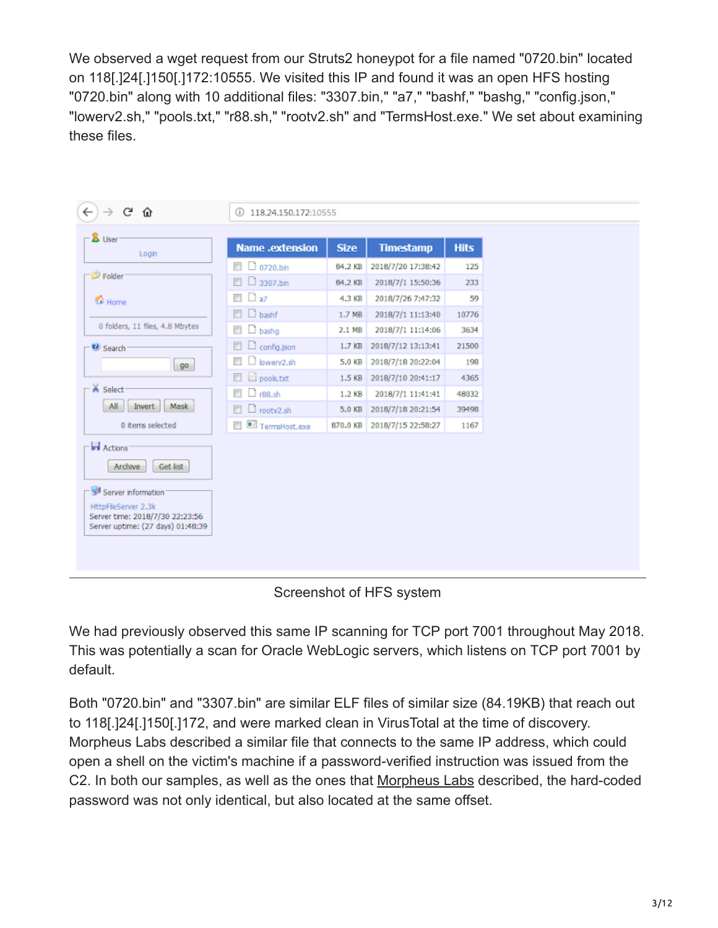We observed a wget request from our Struts2 honeypot for a file named "0720.bin" located on 118[.]24[.]150[.]172:10555. We visited this IP and found it was an open HFS hosting "0720.bin" along with 10 additional files: "3307.bin," "a7," "bashf," "bashg," "config.json," "lowerv2.sh," "pools.txt," "r88.sh," "rootv2.sh" and "TermsHost.exe." We set about examining these files.

| G<br>⋒                                                                                                                                               | 118.24.150.172:10555<br>⊕    |             |                    |             |  |  |
|------------------------------------------------------------------------------------------------------------------------------------------------------|------------------------------|-------------|--------------------|-------------|--|--|
| <b>B</b> User<br>Login                                                                                                                               | <b>Name</b> .extension       | <b>Size</b> | <b>Timestamp</b>   | <b>Hits</b> |  |  |
| Folder                                                                                                                                               | $\Box$ 0720.bin              | 84.2 KB     | 2018/7/20 17:38:42 | 125         |  |  |
|                                                                                                                                                      | $\Box$ 3307.bin              | 84.2 KB     | 2018/7/1 15:50:36  | 233         |  |  |
| Home                                                                                                                                                 | $\Box$ $\Box$ a7             | 4.3 KB      | 2018/7/26 7:47:32  | 59          |  |  |
|                                                                                                                                                      | $\Box$ D bashf               | 1.7 MB      | 2018/7/1 11:13:40  | 10776       |  |  |
| 0 folders, 11 files, 4.8 Mbytes                                                                                                                      | $\Box$ bashg                 | 2.1 MB      | 2018/7/1 11:14:06  | 3634        |  |  |
| Search                                                                                                                                               | $\Box$ config.json<br>$\Box$ | 1.7 KB      | 2018/7/12 13:13:41 | 21500       |  |  |
| $g$ o                                                                                                                                                | $\Box$ lowery2.sh<br>m       | 5.0 KB      | 2018/7/18 20:22:04 | 198         |  |  |
|                                                                                                                                                      | pools.txt<br>o               | 1.5 KB      | 2018/7/10 20:41:17 | 4365        |  |  |
| % Select<br>Mask<br>All<br>Invert                                                                                                                    | $\Box$ r88.sh<br>O           | 1.2 KB      | 2018/7/1 11:41:41  | 48032       |  |  |
|                                                                                                                                                      | $\Box$ rootv2.sh<br>同        | 5.0 KB      | 2018/7/18 20:21:54 | 39498       |  |  |
| 0 items selected                                                                                                                                     | TermsHost.exe                | 870.0 KB    | 2018/7/15 22:58:27 | 1167        |  |  |
| Actions'<br>Archive<br>Get list<br>Server information<br>HttpFileServer 2.3k<br>Server time: 2018/7/30 22:23:56<br>Server uptime: (27 days) 01:48:39 |                              |             |                    |             |  |  |

Screenshot of HFS system

We had previously observed this same IP scanning for TCP port 7001 throughout May 2018. This was potentially a scan for Oracle WebLogic servers, which listens on TCP port 7001 by default.

Both "0720.bin" and "3307.bin" are similar ELF files of similar size (84.19KB) that reach out to 118[.]24[.]150[.]172, and were marked clean in VirusTotal at the time of discovery. Morpheus Labs described a similar file that connects to the same IP address, which could open a shell on the victim's machine if a password-verified instruction was issued from the C2. In both our samples, as well as the ones that [Morpheus Labs](https://morphuslabs.com/criminals-dont-read-instructions-or-use-strong-passwords-a09439617867&sa=D&ust=1535643040331000) described, the hard-coded password was not only identical, but also located at the same offset.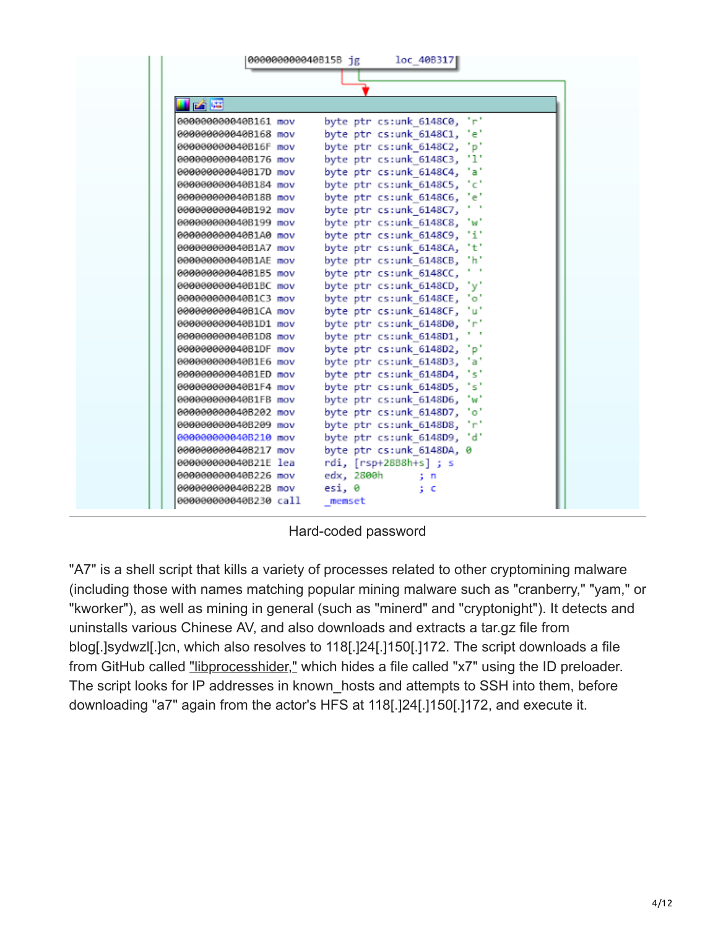|                       | 000000000040B15B jg |        |            | loc 40B317                  |          |
|-----------------------|---------------------|--------|------------|-----------------------------|----------|
|                       |                     |        |            |                             |          |
|                       |                     |        |            |                             |          |
| 國體                    |                     |        |            |                             |          |
| 000000000040B161 mov  |                     |        |            | byte ptr cs:unk 6148C0, 'r' |          |
| 000000000040B168 mov  |                     |        |            | byte ptr cs:unk 6148C1, 'e' |          |
| 000000000040B16F mov  |                     |        |            | byte ptr cs:unk 6148C2, 'p' |          |
| 000000000040B176 mov  |                     |        |            | byte ptr cs:unk 6148C3, 'l' |          |
| 000000000040B17D mov  |                     |        |            | byte ptr cs:unk 6148C4,     | tat      |
| 000000000040B184 mov  |                     |        |            | byte ptr cs:unk_6148C5, 'c' |          |
| 000000000040B18B mov  |                     |        |            | byte ptr cs:unk 6148C6,     | 'e'      |
| 000000000040B192 mov  |                     |        |            | byte ptr cs:unk 6148C7,     | $\cdots$ |
| 000000000040B199 mov  |                     |        |            | byte ptr cs:unk 6148C8,     | t wit    |
| 000000000040B1A0 mov  |                     |        |            | byte ptr cs:unk_6148C9,     | 11.      |
| 000000000040B1A7 mov  |                     |        |            | byte ptr cs:unk 6148CA, 't' |          |
| 000000000040B1AE mov  |                     |        |            | byte ptr cs:unk 6148CB,     | th.      |
| 000000000040B1B5 mov  |                     |        |            | byte ptr cs:unk 6148CC,     | $\cdots$ |
| 000000000040B1BC mov  |                     |        |            | byte ptr cs:unk 6148CD,     | "v"      |
| 000000000040B1C3 mov  |                     |        |            | byte ptr cs:unk_6148CE, 'o' |          |
| 000000000040B1CA mov  |                     |        |            | byte ptr cs:unk_6148CF, 'u' |          |
| 000000000040B1D1 mov  |                     |        |            | byte ptr cs:unk 6148D0, 'r' |          |
| 000000000040B1D8 mov  |                     |        |            | byte ptr cs:unk 6148D1,     |          |
| 000000000040B1DF mov  |                     |        |            | byte ptr cs:unk 6148D2, 'p' |          |
| 000000000040B1E6 mov  |                     |        |            | byte ptr cs:unk 6148D3, 'a' |          |
| 000000000040B1ED mov  |                     |        |            | byte ptr cs:unk_6148D4,     | 's'      |
| 000000000040B1F4 mov  |                     |        |            | byte ptr cs:unk 6148D5,     | ist      |
| 000000000040B1FB mov  |                     |        |            | byte ptr cs:unk 6148D6,     | tw.      |
| 000000000040B202 mov  |                     |        |            | byte ptr cs:unk 6148D7,     | 'ه'      |
| 000000000040B209 mov  |                     |        |            | byte ptr cs:unk 6148D8,     | tet.     |
| 000000000040B210 mov  |                     |        |            | byte ptr cs:unk 6148D9, 'd' |          |
| 000000000040B217 mov  |                     |        |            | byte ptr cs:unk 6148DA, 0   |          |
| 000000000040B21E lea  |                     |        |            | rdi, [rsp+28B8h+s] ; s      |          |
| 000000000040B226 mov  |                     |        | edx, 2800h | s n                         |          |
| 000000000040B22B mov  |                     | esi, 0 |            | ÷с                          |          |
| 000000000040B230 call |                     | memset |            |                             |          |

Hard-coded password

"A7" is a shell script that kills a variety of processes related to other cryptomining malware (including those with names matching popular mining malware such as "cranberry," "yam," or "kworker"), as well as mining in general (such as "minerd" and "cryptonight"). It detects and uninstalls various Chinese AV, and also downloads and extracts a tar.gz file from blog[.]sydwzl[.]cn, which also resolves to 118[.]24[.]150[.]172. The script downloads a file from GitHub called ["libprocesshider,"](https://github.com/gianlucaborello/libprocesshider&sa=D&ust=1535643040332000) which hides a file called "x7" using the ID preloader. The script looks for IP addresses in known hosts and attempts to SSH into them, before downloading "a7" again from the actor's HFS at 118[.]24[.]150[.]172, and execute it.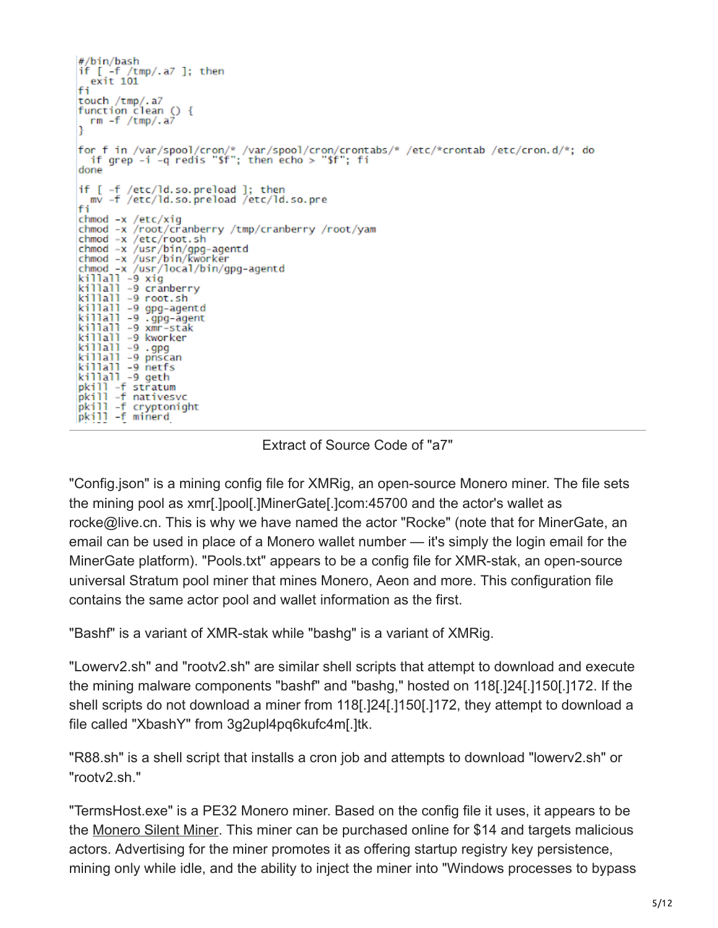```
#/bin/bash
if [-f /tmp/.a7]; then
   exit 101
fi
touch /tmp/.a7
function clean () {
  rm -f /tmp/.a7
for f in /var/spool/cron/* /var/spool/cron/crontabs/* /etc/*crontab /etc/cron.d/*; do<br>if grep -i -q redis "$f"; then echo > "$f"; fi
done
if [ -f /etc/ld.so.preload ]; then<br>mv -f /etc/ld.so.preload /etc/ld.so.pre
fi
chmod -x /etc/xig
chmod -x /root/cranberry /tmp/cranberry /root/yam<br>chmod -x /etc/root.sh
chmod -x /usr/bin/gpg-agentd
chmod -x /usr/bin/kworker
chmod -x /usr/local/bin/gpg-agentd
killall -9 xig
killall -9 cranberry
killall -9 crannerry<br>killall -9 root.sh<br>killall -9 gpg-agentd
killall -9 .gpg-agent<br>killall -9 xmr-stak
killall -9 kworker
killall -9 .gpg
killall -9 pnscan
killall -9 netfs<br>killall -9 geth
killall -9 geth<br>pkill -f stratum<br>pkill -f nativesvc<br>pkill -f cryptonight
pkill -f minerd
```
#### Extract of Source Code of "a7"

"Config.json" is a mining config file for XMRig, an open-source Monero miner. The file sets the mining pool as xmr[.]pool[.]MinerGate[.]com:45700 and the actor's wallet as rocke@live.cn. This is why we have named the actor "Rocke" (note that for MinerGate, an email can be used in place of a Monero wallet number — it's simply the login email for the MinerGate platform). "Pools.txt" appears to be a config file for XMR-stak, an open-source universal Stratum pool miner that mines Monero, Aeon and more. This configuration file contains the same actor pool and wallet information as the first.

"Bashf" is a variant of XMR-stak while "bashg" is a variant of XMRig.

"Lowerv2.sh" and "rootv2.sh" are similar shell scripts that attempt to download and execute the mining malware components "bashf" and "bashg," hosted on 118[.]24[.]150[.]172. If the shell scripts do not download a miner from 118[.]24[.]150[.]172, they attempt to download a file called "XbashY" from 3g2upl4pq6kufc4m[.]tk.

"R88.sh" is a shell script that installs a cron job and attempts to download "lowerv2.sh" or "rootv2.sh."

"TermsHost.exe" is a PE32 Monero miner. Based on the config file it uses, it appears to be the [Monero Silent Miner.](https://xmrminer.net/faq.php&sa=D&ust=1535643040335000) This miner can be purchased online for \$14 and targets malicious actors. Advertising for the miner promotes it as offering startup registry key persistence, mining only while idle, and the ability to inject the miner into "Windows processes to bypass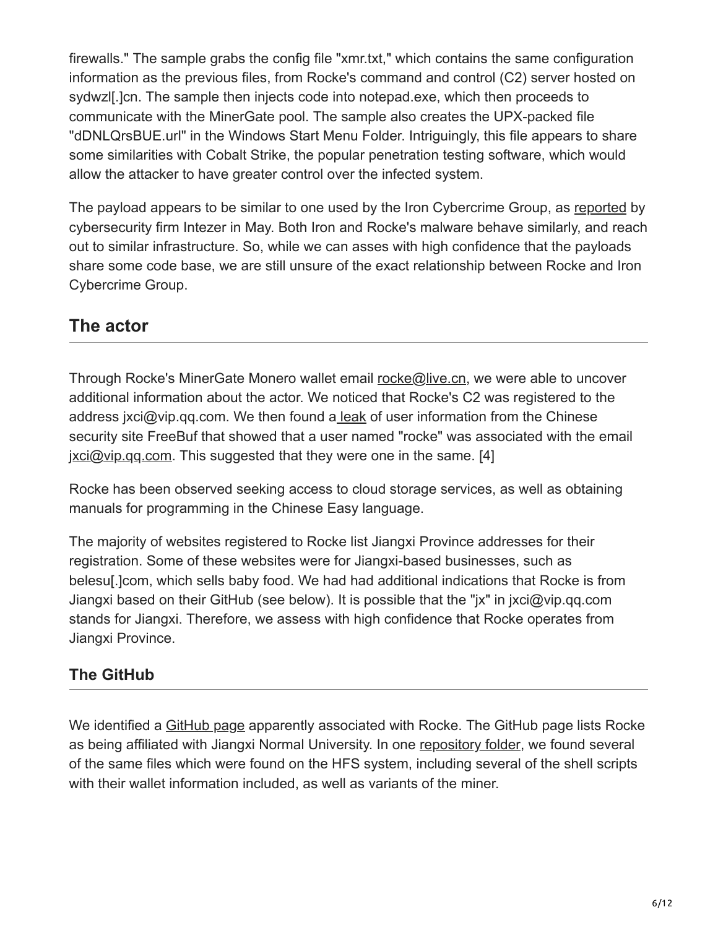firewalls." The sample grabs the config file "xmr.txt," which contains the same configuration information as the previous files, from Rocke's command and control (C2) server hosted on sydwzl[.]cn. The sample then injects code into notepad.exe, which then proceeds to communicate with the MinerGate pool. The sample also creates the UPX-packed file "dDNLQrsBUE.url" in the Windows Start Menu Folder. Intriguingly, this file appears to share some similarities with Cobalt Strike, the popular penetration testing software, which would allow the attacker to have greater control over the infected system.

The payload appears to be similar to one used by the Iron Cybercrime Group, as [reported](https://www.intezer.com/iron-cybercrime-group-under-the-scope-2/) by cybersecurity firm Intezer in May. Both Iron and Rocke's malware behave similarly, and reach out to similar infrastructure. So, while we can asses with high confidence that the payloads share some code base, we are still unsure of the exact relationship between Rocke and Iron Cybercrime Group.

# **The actor**

Through Rocke's MinerGate Monero wallet email [rocke@live.cn,](http://10.10.0.46/mailto:rocke@live.cn) we were able to uncover additional information about the actor. We noticed that Rocke's C2 was registered to the address jxci@vip.qq.com. We then found [a leak](http://www.moonsec.com/post-467.html&sa=D&ust=1535643040337000) of user information from the Chinese security site FreeBuf that showed that a user named "rocke" was associated with the email jxci@vip.gq.com. This suggested that they were one in the same. [4]

Rocke has been observed seeking access to cloud storage services, as well as obtaining manuals for programming in the Chinese Easy language.

The majority of websites registered to Rocke list Jiangxi Province addresses for their registration. Some of these websites were for Jiangxi-based businesses, such as belesu[.]com, which sells baby food. We had had additional indications that Rocke is from Jiangxi based on their GitHub (see below). It is possible that the "jx" in jxci@vip.qq.com stands for Jiangxi. Therefore, we assess with high confidence that Rocke operates from Jiangxi Province.

# **The GitHub**

We identified a [GitHub page](https://github.com/rocke&sa=D&ust=1535643040338000) apparently associated with Rocke. The GitHub page lists Rocke as being affiliated with Jiangxi Normal University. In one [repository folder](https://github.com/rocke/rocke.github.io/tree/master/sample&sa=D&ust=1535643040339000), we found several of the same files which were found on the HFS system, including several of the shell scripts with their wallet information included, as well as variants of the miner.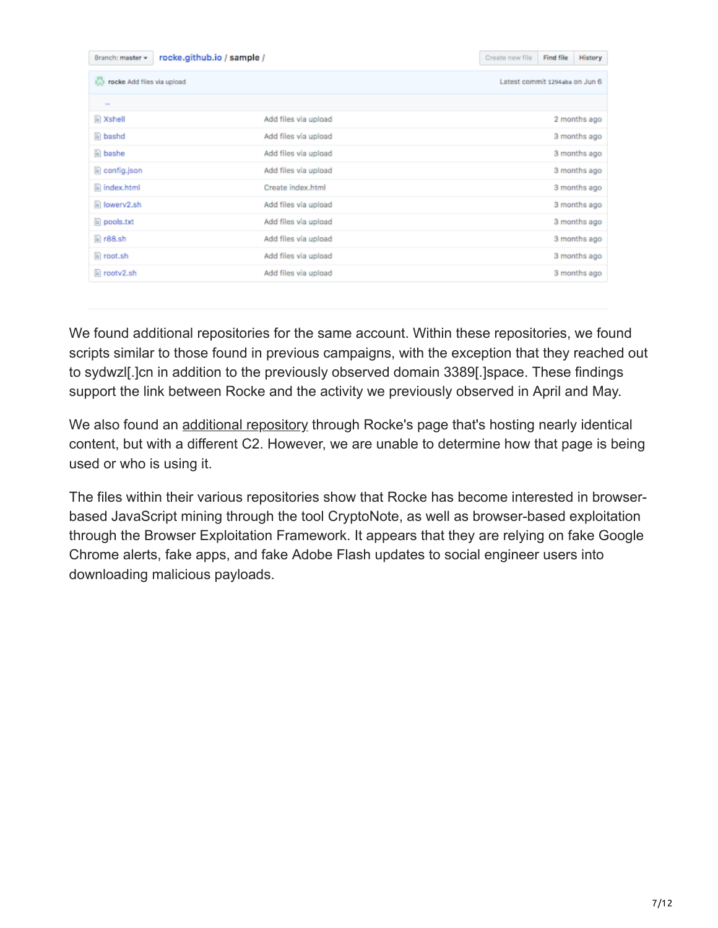| rocke.github.io / sample /<br>Branch: master = |                      | Create new file | Find file                      | <b>History</b> |  |  |
|------------------------------------------------|----------------------|-----------------|--------------------------------|----------------|--|--|
| <b>Co</b> rocke Add files via upload           |                      |                 | Latest commit 1294aba on Jun 6 |                |  |  |
| $\sim$                                         |                      |                 |                                |                |  |  |
| <b>■ Xshell</b>                                | Add files via upload |                 |                                | 2 months ago   |  |  |
| $\mathbb{R}$ bashd                             | Add files via upload |                 |                                | 3 months ago   |  |  |
| e bashe                                        | Add files via upload |                 |                                | 3 months ago   |  |  |
| iii) config.json                               | Add files via upload |                 |                                | 3 months ago   |  |  |
| $\Box$ index.html                              | Create index.html    |                 |                                | 3 months ago   |  |  |
| iii lowerv2.sh                                 | Add files via upload |                 |                                | 3 months ago   |  |  |
| $\Box$ pools.txt                               | Add files via upload |                 |                                | 3 months ago   |  |  |
| $n 88.$ sh                                     | Add files via upload |                 |                                | 3 months ago   |  |  |
| $\Box$ root.sh                                 | Add files via upload |                 |                                | 3 months ago   |  |  |
| $\Box$ rootv2.sh                               | Add files via upload |                 |                                | 3 months ago   |  |  |

We found additional repositories for the same account. Within these repositories, we found scripts similar to those found in previous campaigns, with the exception that they reached out to sydwzl[.]cn in addition to the previously observed domain 3389[.]space. These findings support the link between Rocke and the activity we previously observed in April and May.

We also found an [additional repository](https://github.com/gosrs&sa=D&ust=1535643040339000) through Rocke's page that's hosting nearly identical content, but with a different C2. However, we are unable to determine how that page is being used or who is using it.

The files within their various repositories show that Rocke has become interested in browserbased JavaScript mining through the tool CryptoNote, as well as browser-based exploitation through the Browser Exploitation Framework. It appears that they are relying on fake Google Chrome alerts, fake apps, and fake Adobe Flash updates to social engineer users into downloading malicious payloads.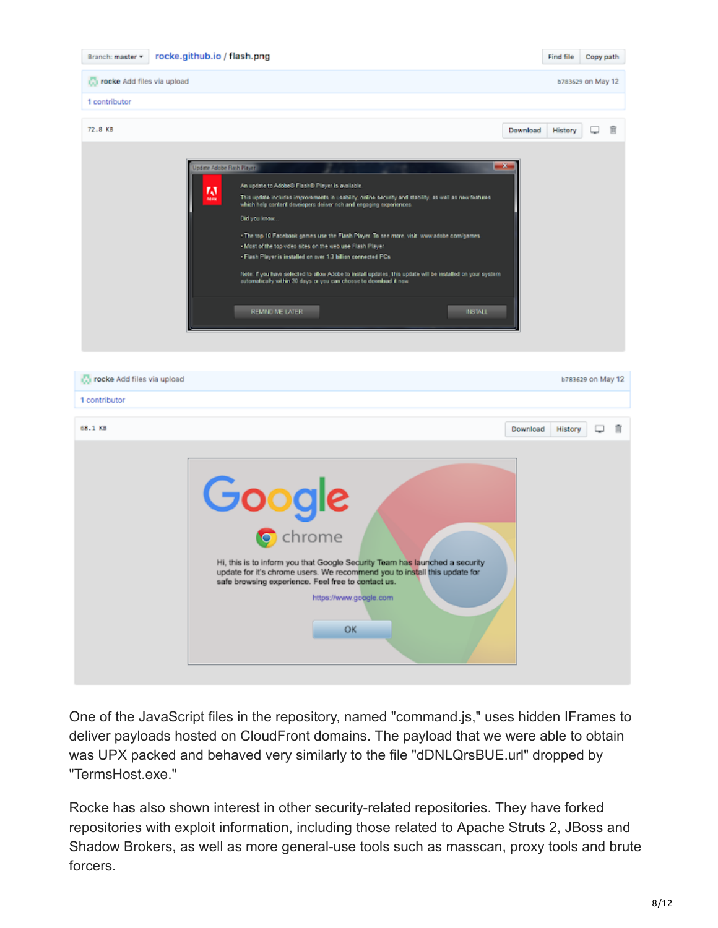

| rocke Add files via upload                                                                                                                                                                                                                                      |          | b783629 on May 12 |   |
|-----------------------------------------------------------------------------------------------------------------------------------------------------------------------------------------------------------------------------------------------------------------|----------|-------------------|---|
| 1 contributor                                                                                                                                                                                                                                                   |          |                   |   |
| 68.1 KB                                                                                                                                                                                                                                                         | Download | History           | 宜 |
| Google<br>Hi, this is to inform you that Google Security Team has launched a security<br>update for it's chrome users. We recommend you to install this update for<br>safe browsing experience. Feel free to contact us.<br>https://www.google.com<br><b>OK</b> |          |                   |   |

One of the JavaScript files in the repository, named "command.js," uses hidden IFrames to deliver payloads hosted on CloudFront domains. The payload that we were able to obtain was UPX packed and behaved very similarly to the file "dDNLQrsBUE.url" dropped by "TermsHost.exe."

Rocke has also shown interest in other security-related repositories. They have forked repositories with exploit information, including those related to Apache Struts 2, JBoss and Shadow Brokers, as well as more general-use tools such as masscan, proxy tools and brute forcers.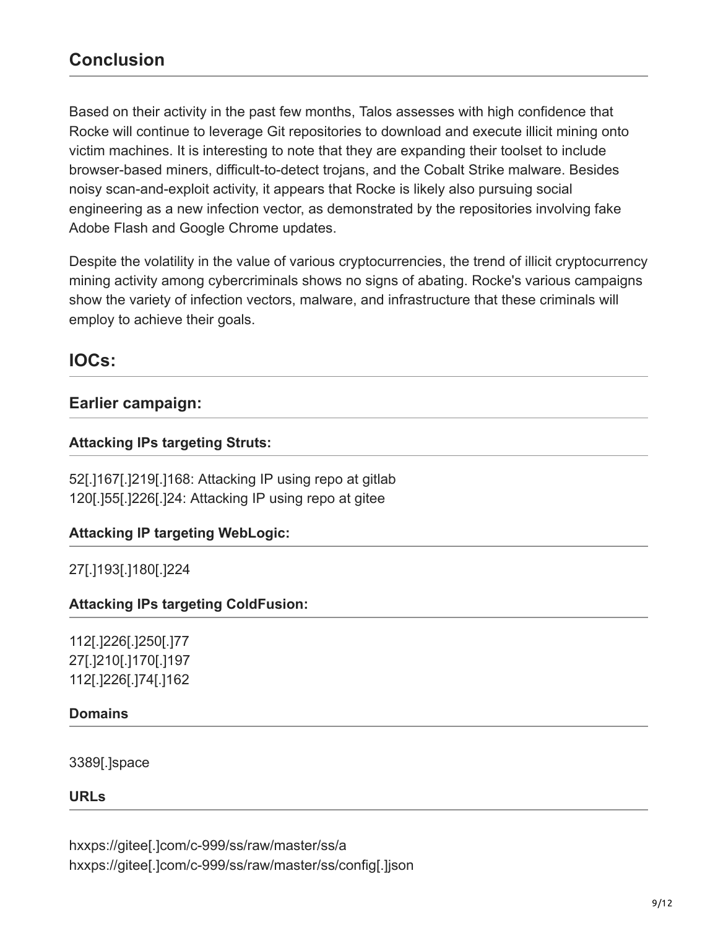Based on their activity in the past few months, Talos assesses with high confidence that Rocke will continue to leverage Git repositories to download and execute illicit mining onto victim machines. It is interesting to note that they are expanding their toolset to include browser-based miners, difficult-to-detect trojans, and the Cobalt Strike malware. Besides noisy scan-and-exploit activity, it appears that Rocke is likely also pursuing social engineering as a new infection vector, as demonstrated by the repositories involving fake Adobe Flash and Google Chrome updates.

Despite the volatility in the value of various cryptocurrencies, the trend of illicit cryptocurrency mining activity among cybercriminals shows no signs of abating. Rocke's various campaigns show the variety of infection vectors, malware, and infrastructure that these criminals will employ to achieve their goals.

# **IOCs:**

# **Earlier campaign:**

#### **Attacking IPs targeting Struts:**

52[.]167[.]219[.]168: Attacking IP using repo at gitlab 120[.]55[.]226[.]24: Attacking IP using repo at gitee

### **Attacking IP targeting WebLogic:**

27[.]193[.]180[.]224

#### **Attacking IPs targeting ColdFusion:**

112[.]226[.]250[.]77 27[.]210[.]170[.]197 112[.]226[.]74[.]162

#### **Domains**

3389[.]space

#### **URLs**

hxxps://gitee[.]com/c-999/ss/raw/master/ss/a hxxps://gitee[.]com/c-999/ss/raw/master/ss/config[.]json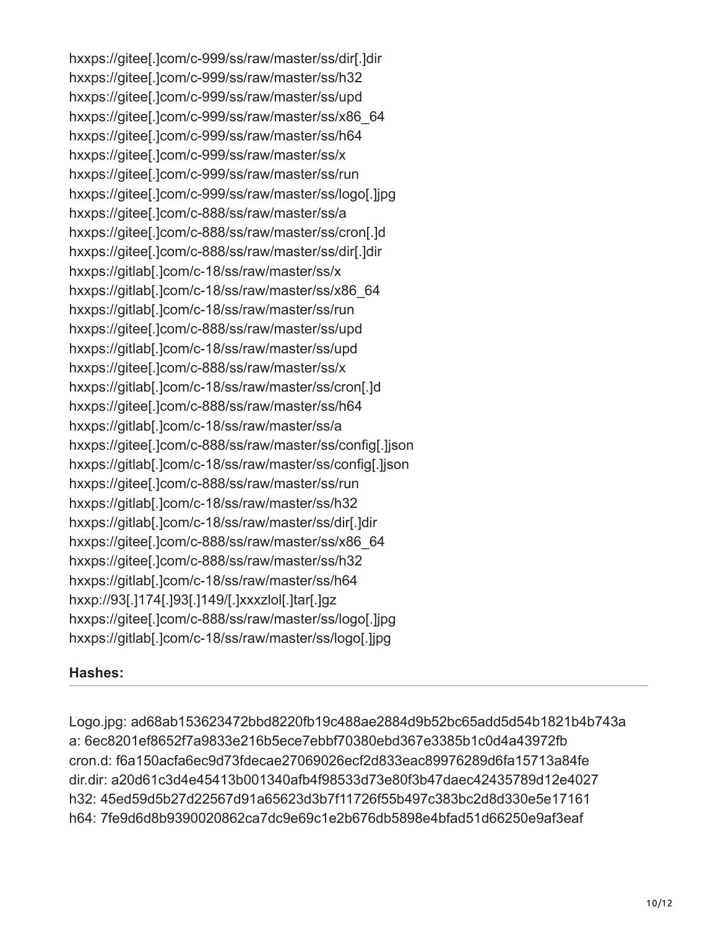hxxps://gitee[.]com/c-999/ss/raw/master/ss/dir[.]dir hxxps://gitee[.]com/c-999/ss/raw/master/ss/h32 hxxps://gitee[.]com/c-999/ss/raw/master/ss/upd hxxps://gitee[.]com/c-999/ss/raw/master/ss/x86\_64 hxxps://gitee[.]com/c-999/ss/raw/master/ss/h64 hxxps://gitee[.]com/c-999/ss/raw/master/ss/x hxxps://gitee[.]com/c-999/ss/raw/master/ss/run hxxps://gitee[.]com/c-999/ss/raw/master/ss/logo[.]jpg hxxps://gitee[.]com/c-888/ss/raw/master/ss/a hxxps://gitee[.]com/c-888/ss/raw/master/ss/cron[.]d hxxps://gitee[.]com/c-888/ss/raw/master/ss/dir[.]dir hxxps://gitlab[.]com/c-18/ss/raw/master/ss/x hxxps://gitlab[.]com/c-18/ss/raw/master/ss/x86\_64 hxxps://gitlab[.]com/c-18/ss/raw/master/ss/run hxxps://gitee[.]com/c-888/ss/raw/master/ss/upd hxxps://gitlab[.]com/c-18/ss/raw/master/ss/upd hxxps://gitee[.]com/c-888/ss/raw/master/ss/x hxxps://gitlab[.]com/c-18/ss/raw/master/ss/cron[.]d hxxps://gitee[.]com/c-888/ss/raw/master/ss/h64 hxxps://gitlab[.]com/c-18/ss/raw/master/ss/a hxxps://gitee[.]com/c-888/ss/raw/master/ss/config[.]json hxxps://gitlab[.]com/c-18/ss/raw/master/ss/config[.]json hxxps://gitee[.]com/c-888/ss/raw/master/ss/run hxxps://gitlab[.]com/c-18/ss/raw/master/ss/h32 hxxps://gitlab[.]com/c-18/ss/raw/master/ss/dir[.]dir hxxps://gitee[.]com/c-888/ss/raw/master/ss/x86\_64 hxxps://gitee[.]com/c-888/ss/raw/master/ss/h32 hxxps://gitlab[.]com/c-18/ss/raw/master/ss/h64 hxxp://93[.]174[.]93[.]149/[.]xxxzlol[.]tar[.]gz hxxps://gitee[.]com/c-888/ss/raw/master/ss/logo[.]jpg hxxps://gitlab[.]com/c-18/ss/raw/master/ss/logo[.]jpg

### **Hashes:**

Logo.jpg: ad68ab153623472bbd8220fb19c488ae2884d9b52bc65add5d54b1821b4b743a a: 6ec8201ef8652f7a9833e216b5ece7ebbf70380ebd367e3385b1c0d4a43972fb cron.d: f6a150acfa6ec9d73fdecae27069026ecf2d833eac89976289d6fa15713a84fe dir.dir: a20d61c3d4e45413b001340afb4f98533d73e80f3b47daec42435789d12e4027 h32: 45ed59d5b27d22567d91a65623d3b7f11726f55b497c383bc2d8d330e5e17161 h64: 7fe9d6d8b9390020862ca7dc9e69c1e2b676db5898e4bfad51d66250e9af3eaf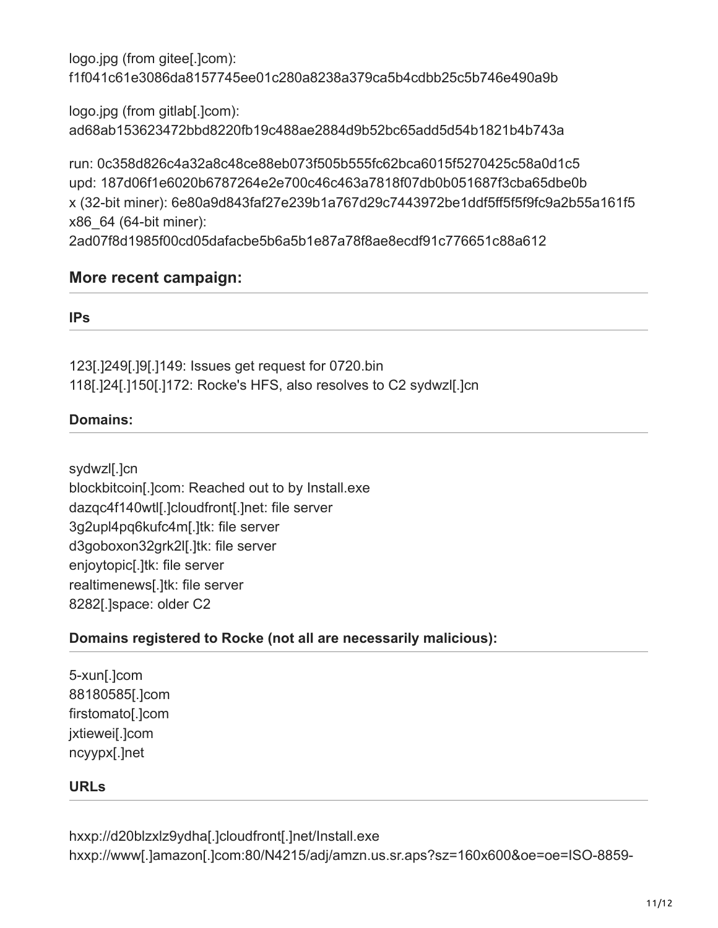logo.jpg (from gitee[.]com): f1f041c61e3086da8157745ee01c280a8238a379ca5b4cdbb25c5b746e490a9b

logo.jpg (from gitlab[.]com): ad68ab153623472bbd8220fb19c488ae2884d9b52bc65add5d54b1821b4b743a

run: 0c358d826c4a32a8c48ce88eb073f505b555fc62bca6015f5270425c58a0d1c5 upd: 187d06f1e6020b6787264e2e700c46c463a7818f07db0b051687f3cba65dbe0b x (32-bit miner): 6e80a9d843faf27e239b1a767d29c7443972be1ddf5ff5f5f9fc9a2b55a161f5 x86\_64 (64-bit miner):

2ad07f8d1985f00cd05dafacbe5b6a5b1e87a78f8ae8ecdf91c776651c88a612

# **More recent campaign:**

#### **IPs**

123[.]249[.]9[.]149: Issues get request for 0720.bin 118[.]24[.]150[.]172: Rocke's HFS, also resolves to C2 sydwzl[.]cn

# **Domains:**

sydwzl[.]cn blockbitcoin[.]com: Reached out to by Install.exe dazqc4f140wtl[.]cloudfront[.]net: file server 3g2upl4pq6kufc4m[.]tk: file server d3goboxon32grk2l[.]tk: file server enjoytopic[.]tk: file server realtimenews[.]tk: file server 8282[.]space: older C2

### **Domains registered to Rocke (not all are necessarily malicious):**

5-xun[.]com 88180585[.]com firstomato[.]com jxtiewei[.]com ncyypx[.]net

### **URLs**

hxxp://d20blzxlz9ydha[.]cloudfront[.]net/Install.exe hxxp://www[.]amazon[.]com:80/N4215/adj/amzn.us.sr.aps?sz=160x600&oe=oe=ISO-8859-